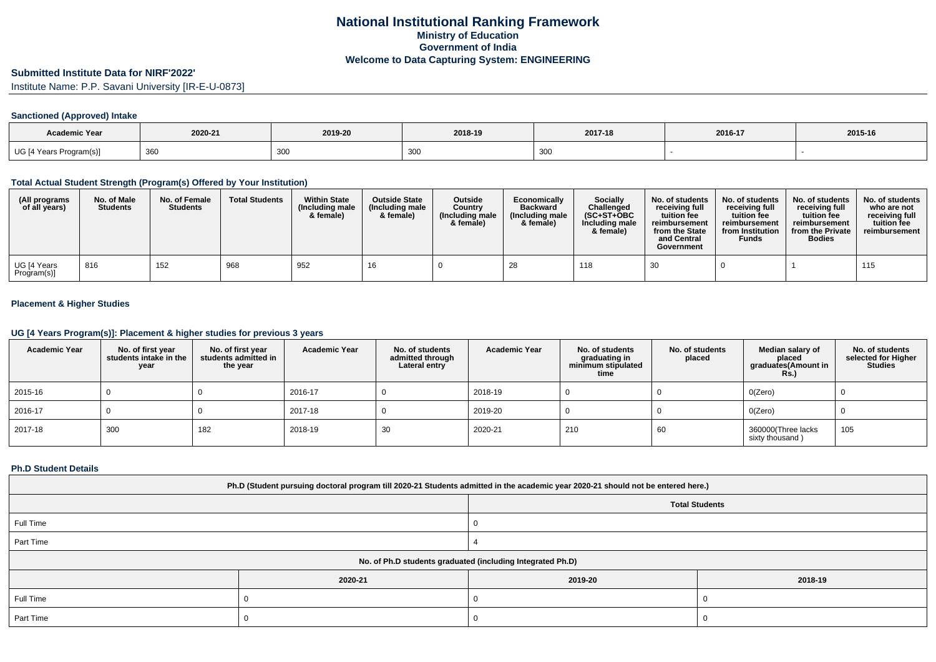# **Submitted Institute Data for NIRF'2022'**

Institute Name: P.P. Savani University [IR-E-U-0873]

### **Sanctioned (Approved) Intake**

| Academic Year           |             |         |         |         |         |         |
|-------------------------|-------------|---------|---------|---------|---------|---------|
|                         | 2020-21     | 2019-20 | 2018-19 | 2017-18 | 2016-17 | 2015-16 |
| UG [4 Years Program(s)] | าลด<br>ັບບບ | ິບບບ    | ึงงง    | 300     |         |         |

#### **Total Actual Student Strength (Program(s) Offered by Your Institution)**

| (All programs<br>of all years) | No. of Male<br><b>Students</b> | No. of Female<br><b>Students</b> | <b>Total Students</b> | <b>Within State</b><br>(Including male<br>& female) | <b>Outside State</b><br>(Including male<br>& female) | <b>Outside</b><br>Country<br>(Including male<br>& female) | Economically<br><b>Backward</b><br>(Including male<br>& female) | <b>Socially</b><br>Challenged<br>$(SC+ST+OBC)$<br>Including male<br>& female) | No. of students<br>receiving full<br>tuition fee<br>reimbursement<br>from the State<br>and Central<br>Government | No. of students<br>receiving full<br>tuition fee<br>reimbursement<br>from Institution<br><b>Funds</b> | No. of students<br>receiving full<br>tuition fee<br>reimbursement<br>from the Private<br><b>Bodies</b> | No. of students<br>who are not<br>receiving full<br>tuition fee<br>reimbursement |
|--------------------------------|--------------------------------|----------------------------------|-----------------------|-----------------------------------------------------|------------------------------------------------------|-----------------------------------------------------------|-----------------------------------------------------------------|-------------------------------------------------------------------------------|------------------------------------------------------------------------------------------------------------------|-------------------------------------------------------------------------------------------------------|--------------------------------------------------------------------------------------------------------|----------------------------------------------------------------------------------|
| UG [4 Years<br>Program(s)]     | 816                            | 152                              | 968                   | 952                                                 | 16                                                   |                                                           | 28                                                              | 118                                                                           | 30                                                                                                               |                                                                                                       |                                                                                                        | 115                                                                              |

## **Placement & Higher Studies**

#### **UG [4 Years Program(s)]: Placement & higher studies for previous 3 years**

| <b>Academic Year</b> | No. of first year<br>students intake in the<br>year | No. of first year<br>students admitted in<br>the year | <b>Academic Year</b> | No. of students<br>admitted through<br>Lateral entry | <b>Academic Year</b> | No. of students<br>graduating in<br>minimum stipulated<br>time | No. of students<br>placed | Median salary of<br>placed<br>graduates(Amount in<br><b>Rs.)</b> | No. of students<br>selected for Higher<br><b>Studies</b> |
|----------------------|-----------------------------------------------------|-------------------------------------------------------|----------------------|------------------------------------------------------|----------------------|----------------------------------------------------------------|---------------------------|------------------------------------------------------------------|----------------------------------------------------------|
| 2015-16              |                                                     |                                                       | 2016-17              |                                                      | 2018-19              |                                                                |                           | O(Zero)                                                          |                                                          |
| 2016-17              |                                                     |                                                       | 2017-18              |                                                      | 2019-20              |                                                                |                           | O(Zero)                                                          |                                                          |
| 2017-18              | 300                                                 | 182                                                   | 2018-19              | 30                                                   | 2020-21              | 210                                                            | 60                        | 360000(Three lacks<br>sixty thousand)                            | 105                                                      |

#### **Ph.D Student Details**

| Ph.D (Student pursuing doctoral program till 2020-21 Students admitted in the academic year 2020-21 should not be entered here.) |                                                            |                       |         |  |  |  |  |
|----------------------------------------------------------------------------------------------------------------------------------|------------------------------------------------------------|-----------------------|---------|--|--|--|--|
|                                                                                                                                  |                                                            | <b>Total Students</b> |         |  |  |  |  |
| Full Time                                                                                                                        |                                                            |                       |         |  |  |  |  |
| Part Time                                                                                                                        |                                                            |                       |         |  |  |  |  |
|                                                                                                                                  | No. of Ph.D students graduated (including Integrated Ph.D) |                       |         |  |  |  |  |
|                                                                                                                                  | 2020-21                                                    | 2019-20               | 2018-19 |  |  |  |  |
| Full Time                                                                                                                        |                                                            |                       |         |  |  |  |  |
| Part Time                                                                                                                        |                                                            |                       |         |  |  |  |  |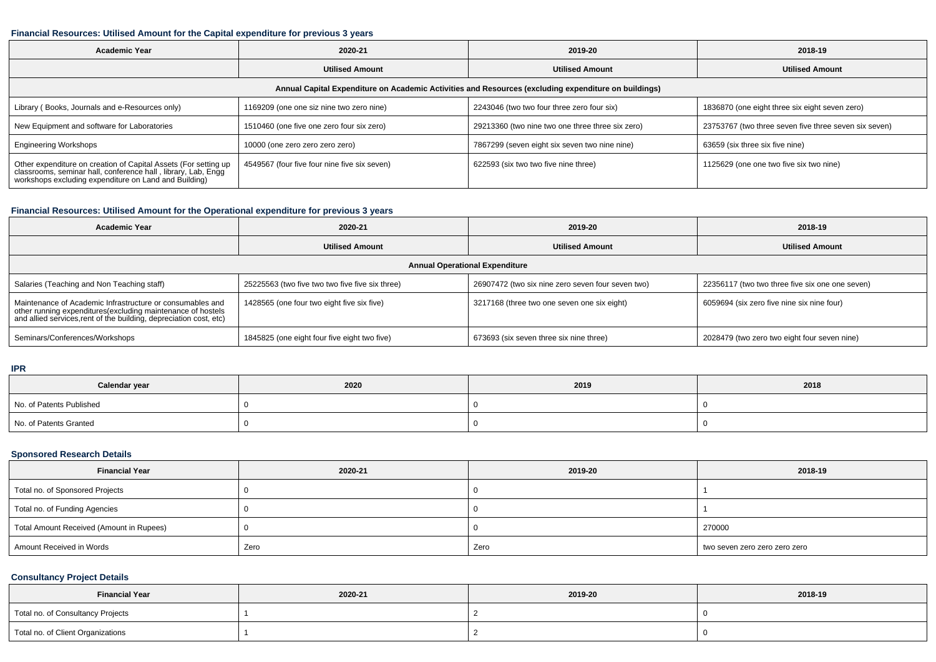## **Financial Resources: Utilised Amount for the Capital expenditure for previous 3 years**

| 2020-21<br>Academic Year                                                                                                                                                                  |                                                                                        | 2019-20                                          | 2018-19                                               |  |  |  |  |  |  |
|-------------------------------------------------------------------------------------------------------------------------------------------------------------------------------------------|----------------------------------------------------------------------------------------|--------------------------------------------------|-------------------------------------------------------|--|--|--|--|--|--|
|                                                                                                                                                                                           | <b>Utilised Amount</b><br><b>Utilised Amount</b>                                       |                                                  | <b>Utilised Amount</b>                                |  |  |  |  |  |  |
| Annual Capital Expenditure on Academic Activities and Resources (excluding expenditure on buildings)                                                                                      |                                                                                        |                                                  |                                                       |  |  |  |  |  |  |
| Library (Books, Journals and e-Resources only)                                                                                                                                            | 1169209 (one one siz nine two zero nine)<br>2243046 (two two four three zero four six) |                                                  | 1836870 (one eight three six eight seven zero)        |  |  |  |  |  |  |
| New Equipment and software for Laboratories                                                                                                                                               | 1510460 (one five one zero four six zero)                                              | 29213360 (two nine two one three three six zero) | 23753767 (two three seven five three seven six seven) |  |  |  |  |  |  |
| <b>Engineering Workshops</b>                                                                                                                                                              | 10000 (one zero zero zero zero)                                                        | 7867299 (seven eight six seven two nine nine)    | 63659 (six three six five nine)                       |  |  |  |  |  |  |
| Other expenditure on creation of Capital Assets (For setting up<br>classrooms, seminar hall, conference hall, library, Lab, Engg<br>workshops excluding expenditure on Land and Building) | 4549567 (four five four nine five six seven)                                           | 622593 (six two two five nine three)             | 1125629 (one one two five six two nine)               |  |  |  |  |  |  |

## **Financial Resources: Utilised Amount for the Operational expenditure for previous 3 years**

| <b>Academic Year</b>                                                                                                                                                                            | 2020-21                                         | 2019-20                                           | 2018-19                                         |  |  |  |  |  |
|-------------------------------------------------------------------------------------------------------------------------------------------------------------------------------------------------|-------------------------------------------------|---------------------------------------------------|-------------------------------------------------|--|--|--|--|--|
|                                                                                                                                                                                                 | <b>Utilised Amount</b>                          | <b>Utilised Amount</b>                            | <b>Utilised Amount</b>                          |  |  |  |  |  |
| <b>Annual Operational Expenditure</b>                                                                                                                                                           |                                                 |                                                   |                                                 |  |  |  |  |  |
| Salaries (Teaching and Non Teaching staff)                                                                                                                                                      | 25225563 (two five two two five five six three) | 26907472 (two six nine zero seven four seven two) | 22356117 (two two three five six one one seven) |  |  |  |  |  |
| Maintenance of Academic Infrastructure or consumables and<br>other running expenditures (excluding maintenance of hostels<br>and allied services, rent of the building, depreciation cost, etc) | 1428565 (one four two eight five six five)      | 3217168 (three two one seven one six eight)       | 6059694 (six zero five nine six nine four)      |  |  |  |  |  |
| Seminars/Conferences/Workshops                                                                                                                                                                  | 1845825 (one eight four five eight two five)    | 673693 (six seven three six nine three)           | 2028479 (two zero two eight four seven nine)    |  |  |  |  |  |

#### **IPR**

| Calendar year            | 2020 | 2019 | 2018 |
|--------------------------|------|------|------|
| No. of Patents Published |      |      |      |
| No. of Patents Granted   |      |      |      |

# **Sponsored Research Details**

| <b>Financial Year</b>                    | 2020-21 | 2019-20 | 2018-19                       |
|------------------------------------------|---------|---------|-------------------------------|
| Total no. of Sponsored Projects          |         |         |                               |
| Total no. of Funding Agencies            |         |         |                               |
| Total Amount Received (Amount in Rupees) |         |         | 270000                        |
| Amount Received in Words                 | Zero    | Zero    | two seven zero zero zero zero |

# **Consultancy Project Details**

| <b>Financial Year</b>             | 2020-21 | 2019-20 | 2018-19 |
|-----------------------------------|---------|---------|---------|
| Total no. of Consultancy Projects |         |         |         |
| Total no. of Client Organizations |         |         |         |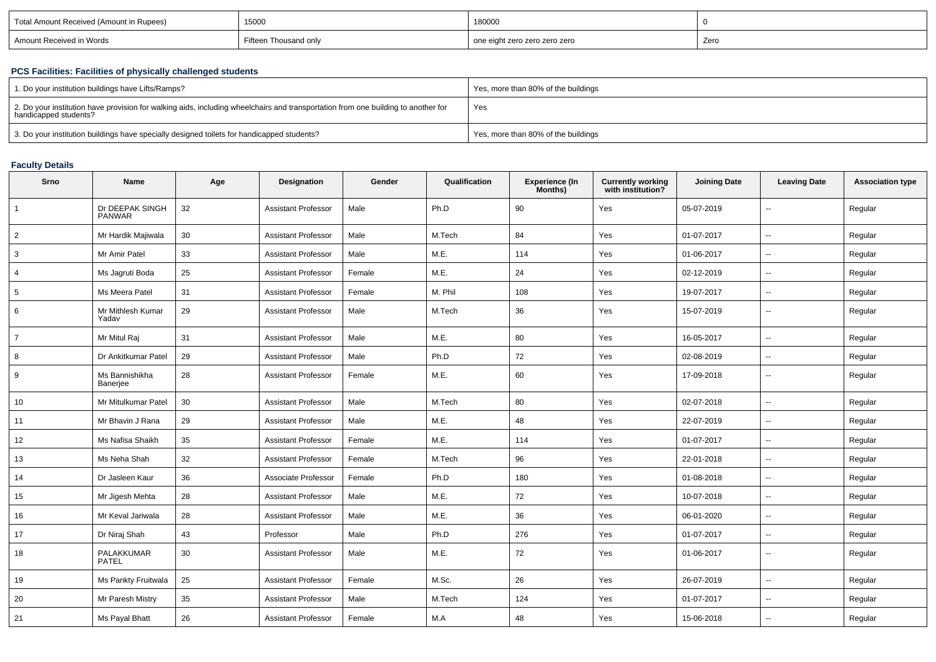| Total Amount Received (Amount in Rupees) | 15000                 | 180000                        |      |
|------------------------------------------|-----------------------|-------------------------------|------|
| Amount Received in Words                 | Fifteen Thousand only | one eight zero zero zero zero | Zero |

## **PCS Facilities: Facilities of physically challenged students**

| 1. Do your institution buildings have Lifts/Ramps?                                                                                                               | Yes, more than 80% of the buildings |
|------------------------------------------------------------------------------------------------------------------------------------------------------------------|-------------------------------------|
| $\pm$ 2. Do your institution have provision for walking aids, including wheelchairs and transportation from one building to another for<br>handicapped students? | Yes                                 |
| 3. Do your institution buildings have specially designed toilets for handicapped students?                                                                       | Yes, more than 80% of the buildings |

# **Faculty Details**

| Srno            | <b>Name</b>                | Age | Designation                | Gender | Qualification | <b>Experience (In</b><br>Months) | <b>Currently working</b><br>with institution? | <b>Joining Date</b> | <b>Leaving Date</b>      | <b>Association type</b> |
|-----------------|----------------------------|-----|----------------------------|--------|---------------|----------------------------------|-----------------------------------------------|---------------------|--------------------------|-------------------------|
| $\overline{1}$  | Dr DEEPAK SINGH<br>PANWAR  | 32  | <b>Assistant Professor</b> | Male   | Ph.D          | 90                               | Yes                                           | 05-07-2019          | $\sim$                   | Regular                 |
| $\overline{2}$  | Mr Hardik Majiwala         | 30  | <b>Assistant Professor</b> | Male   | M.Tech        | 84                               | Yes                                           | 01-07-2017          | $\ddotsc$                | Regular                 |
| 3               | Mr Amir Patel              | 33  | <b>Assistant Professor</b> | Male   | M.E.          | 114                              | Yes                                           | 01-06-2017          | $\overline{\phantom{a}}$ | Regular                 |
| $\overline{4}$  | Ms Jagruti Boda            | 25  | <b>Assistant Professor</b> | Female | M.E.          | 24                               | Yes                                           | 02-12-2019          | $\sim$                   | Regular                 |
| $5\phantom{.0}$ | Ms Meera Patel             | 31  | <b>Assistant Professor</b> | Female | M. Phil       | 108                              | Yes                                           | 19-07-2017          | $\overline{\phantom{a}}$ | Regular                 |
| 6               | Mr Mithlesh Kumar<br>Yadav | 29  | <b>Assistant Professor</b> | Male   | M.Tech        | 36                               | Yes                                           | 15-07-2019          | $\overline{\phantom{a}}$ | Regular                 |
| $\overline{7}$  | Mr Mitul Raj               | 31  | <b>Assistant Professor</b> | Male   | M.E.          | 80                               | Yes                                           | 16-05-2017          | $\overline{\phantom{a}}$ | Regular                 |
| 8               | Dr Ankitkumar Patel        | 29  | <b>Assistant Professor</b> | Male   | Ph.D          | 72                               | Yes                                           | 02-08-2019          | $\sim$                   | Regular                 |
| 9               | Ms Bannishikha<br>Banerjee | 28  | Assistant Professor        | Female | M.E.          | 60                               | Yes                                           | 17-09-2018          | $\overline{\phantom{a}}$ | Regular                 |
| 10              | Mr Mitulkumar Patel        | 30  | <b>Assistant Professor</b> | Male   | M.Tech        | 80                               | Yes                                           | 02-07-2018          | $\mathbf{u}$             | Regular                 |
| 11              | Mr Bhavin J Rana           | 29  | <b>Assistant Professor</b> | Male   | M.E.          | 48                               | Yes                                           | 22-07-2019          | $\overline{\phantom{a}}$ | Regular                 |
| 12              | Ms Nafisa Shaikh           | 35  | <b>Assistant Professor</b> | Female | M.E.          | 114                              | Yes                                           | 01-07-2017          | $\sim$                   | Regular                 |
| 13              | Ms Neha Shah               | 32  | <b>Assistant Professor</b> | Female | M.Tech        | 96                               | Yes                                           | 22-01-2018          | $\sim$                   | Regular                 |
| 14              | Dr Jasleen Kaur            | 36  | Associate Professor        | Female | Ph.D          | 180                              | Yes                                           | 01-08-2018          | $\mathbf{u}$             | Regular                 |
| 15              | Mr Jigesh Mehta            | 28  | <b>Assistant Professor</b> | Male   | M.E.          | 72                               | Yes                                           | 10-07-2018          | $\sim$                   | Regular                 |
| 16              | Mr Keval Jariwala          | 28  | Assistant Professor        | Male   | M.E.          | 36                               | Yes                                           | 06-01-2020          | $\overline{\phantom{a}}$ | Regular                 |
| 17              | Dr Niraj Shah              | 43  | Professor                  | Male   | Ph.D          | 276                              | Yes                                           | 01-07-2017          | $\overline{\phantom{a}}$ | Regular                 |
| 18              | PALAKKUMAR<br><b>PATEL</b> | 30  | <b>Assistant Professor</b> | Male   | M.E.          | 72                               | Yes                                           | 01-06-2017          | $\sim$                   | Regular                 |
| 19              | Ms Pankty Fruitwala        | 25  | <b>Assistant Professor</b> | Female | M.Sc.         | 26                               | Yes                                           | 26-07-2019          | $\overline{\phantom{a}}$ | Regular                 |
| 20              | Mr Paresh Mistry           | 35  | <b>Assistant Professor</b> | Male   | M.Tech        | 124                              | Yes                                           | 01-07-2017          | $\overline{\phantom{a}}$ | Regular                 |
| 21              | Ms Payal Bhatt             | 26  | <b>Assistant Professor</b> | Female | M.A           | 48                               | Yes                                           | 15-06-2018          | $\overline{a}$           | Regular                 |